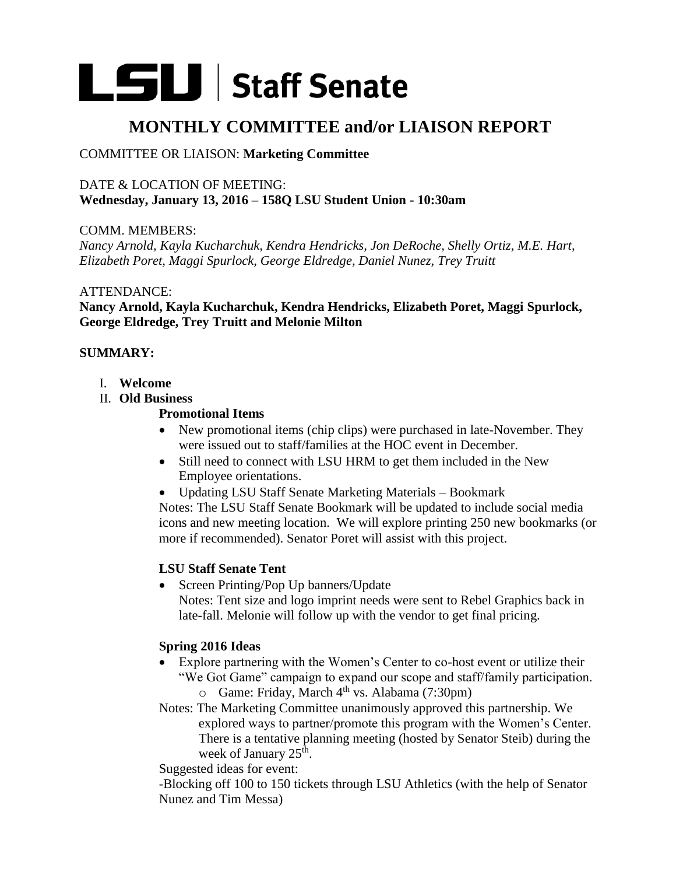# **LSU** Staff Senate

# **MONTHLY COMMITTEE and/or LIAISON REPORT**

# COMMITTEE OR LIAISON: **Marketing Committee**

# DATE & LOCATION OF MEETING: **Wednesday, January 13, 2016 – 158Q LSU Student Union - 10:30am**

COMM. MEMBERS:

*Nancy Arnold, Kayla Kucharchuk, Kendra Hendricks, Jon DeRoche, Shelly Ortiz, M.E. Hart, Elizabeth Poret, Maggi Spurlock, George Eldredge, Daniel Nunez, Trey Truitt*

# ATTENDANCE:

**Nancy Arnold, Kayla Kucharchuk, Kendra Hendricks, Elizabeth Poret, Maggi Spurlock, George Eldredge, Trey Truitt and Melonie Milton**

# **SUMMARY:**

- I. **Welcome**
- II. **Old Business**

# **Promotional Items**

- New promotional items (chip clips) were purchased in late-November. They were issued out to staff/families at the HOC event in December.
- Still need to connect with LSU HRM to get them included in the New Employee orientations.
- Updating LSU Staff Senate Marketing Materials Bookmark

Notes: The LSU Staff Senate Bookmark will be updated to include social media icons and new meeting location. We will explore printing 250 new bookmarks (or more if recommended). Senator Poret will assist with this project.

# **LSU Staff Senate Tent**

• Screen Printing/Pop Up banners/Update

Notes: Tent size and logo imprint needs were sent to Rebel Graphics back in late-fall. Melonie will follow up with the vendor to get final pricing.

# **Spring 2016 Ideas**

 Explore partnering with the Women's Center to co-host event or utilize their "We Got Game" campaign to expand our scope and staff/family participation.  $\circ$  Game: Friday, March 4<sup>th</sup> vs. Alabama (7:30pm)

Notes: The Marketing Committee unanimously approved this partnership. We explored ways to partner/promote this program with the Women's Center. There is a tentative planning meeting (hosted by Senator Steib) during the week of January 25<sup>th</sup>.

Suggested ideas for event:

-Blocking off 100 to 150 tickets through LSU Athletics (with the help of Senator Nunez and Tim Messa)